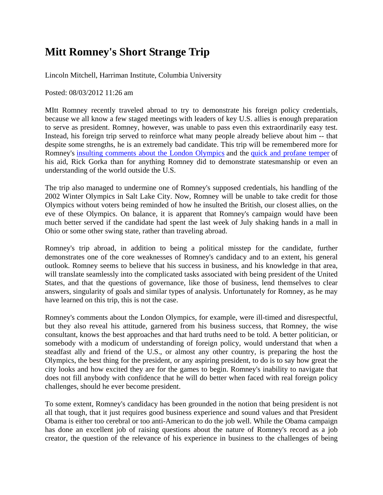## **Mitt Romney's Short Strange Trip**

Lincoln Mitchell, Harriman Institute, Columbia University

Posted: 08/03/2012 11:26 am

MItt Romney recently traveled abroad to try to demonstrate his foreign policy credentials, because we all know a few staged meetings with leaders of key U.S. allies is enough preparation to serve as president. Romney, however, was unable to pass even this extraordinarily easy test. Instead, his foreign trip served to reinforce what many people already believe about him -- that despite some strengths, he is an extremely bad candidate. This trip will be remembered more for Romney's [insulting comments about the London Olympics](http://www.guardian.co.uk/world/2012/jul/26/mitt-romney-olympics-blunder) and the [quick and profane temper](http://www.washingtonpost.com/politics/as-mitt-romney-wraps-up-overseas-trip-his-aide-berates-reporters/2012/07/31/gJQAjefcMX_story.html) of his aid, Rick Gorka than for anything Romney did to demonstrate statesmanship or even an understanding of the world outside the U.S.

The trip also managed to undermine one of Romney's supposed credentials, his handling of the 2002 Winter Olympics in Salt Lake City. Now, Romney will be unable to take credit for those Olympics without voters being reminded of how he insulted the British, our closest allies, on the eve of these Olympics. On balance, it is apparent that Romney's campaign would have been much better served if the candidate had spent the last week of July shaking hands in a mall in Ohio or some other swing state, rather than traveling abroad.

Romney's trip abroad, in addition to being a political misstep for the candidate, further demonstrates one of the core weaknesses of Romney's candidacy and to an extent, his general outlook. Romney seems to believe that his success in business, and his knowledge in that area, will translate seamlessly into the complicated tasks associated with being president of the United States, and that the questions of governance, like those of business, lend themselves to clear answers, singularity of goals and similar types of analysis. Unfortunately for Romney, as he may have learned on this trip, this is not the case.

Romney's comments about the London Olympics, for example, were ill-timed and disrespectful, but they also reveal his attitude, garnered from his business success, that Romney, the wise consultant, knows the best approaches and that hard truths need to be told. A better politician, or somebody with a modicum of understanding of foreign policy, would understand that when a steadfast ally and friend of the U.S., or almost any other country, is preparing the host the Olympics, the best thing for the president, or any aspiring president, to do is to say how great the city looks and how excited they are for the games to begin. Romney's inability to navigate that does not fill anybody with confidence that he will do better when faced with real foreign policy challenges, should he ever become president.

To some extent, Romney's candidacy has been grounded in the notion that being president is not all that tough, that it just requires good business experience and sound values and that President Obama is either too cerebral or too anti-American to do the job well. While the Obama campaign has done an excellent job of raising questions about the nature of Romney's record as a job creator, the question of the relevance of his experience in business to the challenges of being